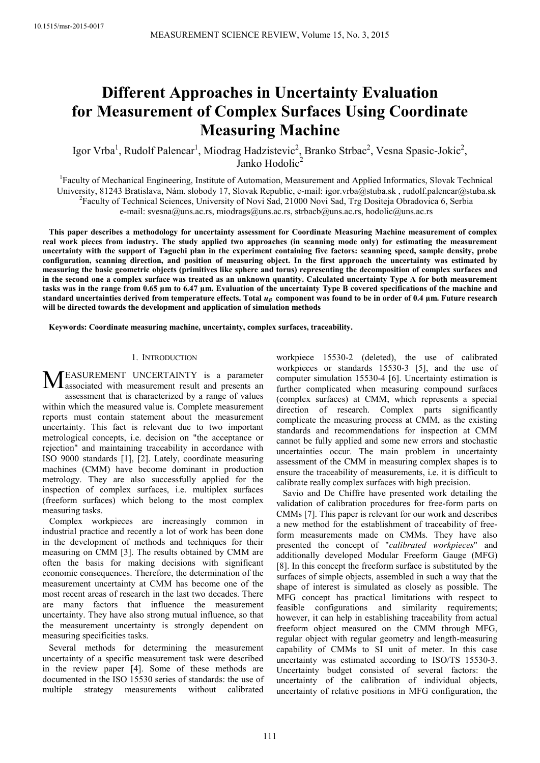# **Different Approaches in Uncertainty Evaluation for Measurement of Complex Surfaces Using Coordinate Measuring Machine**

Igor Vrba<sup>1</sup>, Rudolf Palencar<sup>1</sup>, Miodrag Hadzistevic<sup>2</sup>, Branko Strbac<sup>2</sup>, Vesna Spasic-Jokic<sup>2</sup>, Janko Hodolic<sup>2</sup>

<sup>1</sup>Faculty of Mechanical Engineering, Institute of Automation, Measurement and Applied Informatics, Slovak Technical University, 81243 Bratislava, Nám. slobody 17, Slovak Republic, e-mail: igor.vrba@stuba.sk, rudolf.palencar@stuba.sk <sup>2</sup> Faculty of Technical Sciences, University of Novi Sad, 21000 Novi Sad, Trg Dositeja Obradovica 6, Serbia e-mail: svesna@uns.ac.rs, miodrags@uns.ac.rs, strbacb@uns.ac.rs, hodolic@uns.ac.rs

**This paper describes a methodology for uncertainty assessment for Coordinate Measuring Machine measurement of complex real work pieces from industry. The study applied two approaches (in scanning mode only) for estimating the measurement uncertainty with the support of Taguchi plan in the experiment containing five factors: scanning speed, sample density, probe configuration, scanning direction, and position of measuring object. In the first approach the uncertainty was estimated by measuring the basic geometric objects (primitives like sphere and torus) representing the decomposition of complex surfaces and in the second one a complex surface was treated as an unknown quantity. Calculated uncertainty Type A for both measurement tasks was in the range from 0.65 µm to 6.47 µm. Evaluation of the uncertainty Type B covered specifications of the machine and standard uncertainties derived from temperature effects. Total** *uB* **component was found to be in order of 0.4 µm. Future research will be directed towards the development and application of simulation methods**

**Keywords: Coordinate measuring machine, uncertainty, complex surfaces, traceability.** 

## 1. INTRODUCTION

EASUREMENT UNCERTAINTY is a parameter MEASUREMENT UNCERTAINTY is a parameter and presents and presents and presents and presents and presents and  $\mu$ assessment that is characterized by a range of values within which the measured value is. Complete measurement reports must contain statement about the measurement uncertainty. This fact is relevant due to two important metrological concepts, i.e. decision on "the acceptance or rejection" and maintaining traceability in accordance with ISO 9000 standards [1], [2]. Lately, coordinate measuring machines (CMM) have become dominant in production metrology. They are also successfully applied for the inspection of complex surfaces, i.e. multiplex surfaces (freeform surfaces) which belong to the most complex measuring tasks.

 Complex workpieces are increasingly common in industrial practice and recently a lot of work has been done in the development of methods and techniques for their measuring on CMM [3]. The results obtained by CMM are often the basis for making decisions with significant economic consequences. Therefore, the determination of the measurement uncertainty at CMM has become one of the most recent areas of research in the last two decades. There are many factors that influence the measurement uncertainty. They have also strong mutual influence, so that the measurement uncertainty is strongly dependent on measuring specificities tasks.

Several methods for determining the measurement uncertainty of a specific measurement task were described in the review paper [4]. Some of these methods are documented in the ISO 15530 series of standards: the use of multiple strategy measurements without calibrated

workpiece 15530-2 (deleted), the use of calibrated workpieces or standards 15530-3 [5], and the use of computer simulation 15530-4 [6]. Uncertainty estimation is further complicated when measuring compound surfaces (complex surfaces) at CMM, which represents a special direction of research. Complex parts significantly complicate the measuring process at CMM, as the existing standards and recommendations for inspection at CMM cannot be fully applied and some new errors and stochastic uncertainties occur. The main problem in uncertainty assessment of the CMM in measuring complex shapes is to ensure the traceability of measurements, i.e. it is difficult to calibrate really complex surfaces with high precision.

Savio and De Chiffre have presented work detailing the validation of calibration procedures for free-form parts on CMMs [7]. This paper is relevant for our work and describes a new method for the establishment of traceability of freeform measurements made on CMMs. They have also presented the concept of "*calibrated workpieces*" and additionally developed Modular Freeform Gauge (MFG) [8]. In this concept the freeform surface is substituted by the surfaces of simple objects, assembled in such a way that the shape of interest is simulated as closely as possible. The MFG concept has practical limitations with respect to feasible configurations and similarity requirements; however, it can help in establishing traceability from actual freeform object measured on the CMM through MFG, regular object with regular geometry and length-measuring capability of CMMs to SI unit of meter. In this case uncertainty was estimated according to ISO/TS 15530-3. Uncertainty budget consisted of several factors: the uncertainty of the calibration of individual objects, uncertainty of relative positions in MFG configuration, the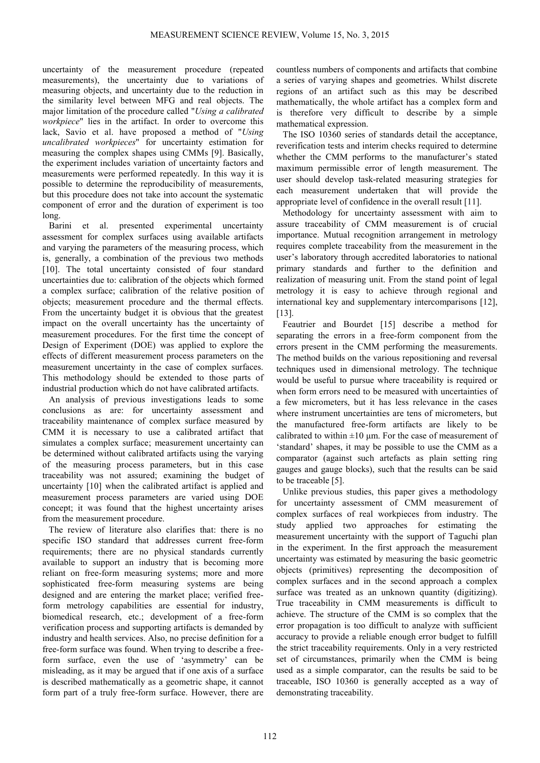uncertainty of the measurement procedure (repeated measurements), the uncertainty due to variations of measuring objects, and uncertainty due to the reduction in the similarity level between MFG and real objects. The major limitation of the procedure called "*Using a calibrated workpiece*" lies in the artifact. In order to overcome this lack, Savio et al. have proposed a method of "*Using uncalibrated workpieces*" for uncertainty estimation for measuring the complex shapes using CMMs [9]. Basically, the experiment includes variation of uncertainty factors and measurements were performed repeatedly. In this way it is possible to determine the reproducibility of measurements, but this procedure does not take into account the systematic component of error and the duration of experiment is too long.

Barini et al. presented experimental uncertainty assessment for complex surfaces using available artifacts and varying the parameters of the measuring process, which is, generally, a combination of the previous two methods [10]. The total uncertainty consisted of four standard uncertainties due to: calibration of the objects which formed a complex surface; calibration of the relative position of objects; measurement procedure and the thermal effects. From the uncertainty budget it is obvious that the greatest impact on the overall uncertainty has the uncertainty of measurement procedures. For the first time the concept of Design of Experiment (DOE) was applied to explore the effects of different measurement process parameters on the measurement uncertainty in the case of complex surfaces. This methodology should be extended to those parts of industrial production which do not have calibrated artifacts.

An analysis of previous investigations leads to some conclusions as are: for uncertainty assessment and traceability maintenance of complex surface measured by CMM it is necessary to use a calibrated artifact that simulates a complex surface; measurement uncertainty can be determined without calibrated artifacts using the varying of the measuring process parameters, but in this case traceability was not assured; examining the budget of uncertainty [10] when the calibrated artifact is applied and measurement process parameters are varied using DOE concept; it was found that the highest uncertainty arises from the measurement procedure.

The review of literature also clarifies that: there is no specific ISO standard that addresses current free-form requirements; there are no physical standards currently available to support an industry that is becoming more reliant on free-form measuring systems; more and more sophisticated free-form measuring systems are being designed and are entering the market place; verified freeform metrology capabilities are essential for industry, biomedical research, etc.; development of a free-form verification process and supporting artifacts is demanded by industry and health services. Also, no precise definition for a free-form surface was found. When trying to describe a freeform surface, even the use of 'asymmetry' can be misleading, as it may be argued that if one axis of a surface is described mathematically as a geometric shape, it cannot form part of a truly free-form surface. However, there are

countless numbers of components and artifacts that combine a series of varying shapes and geometries. Whilst discrete regions of an artifact such as this may be described mathematically, the whole artifact has a complex form and is therefore very difficult to describe by a simple mathematical expression.

The ISO 10360 series of standards detail the acceptance, reverification tests and interim checks required to determine whether the CMM performs to the manufacturer's stated maximum permissible error of length measurement. The user should develop task-related measuring strategies for each measurement undertaken that will provide the appropriate level of confidence in the overall result [11].

Methodology for uncertainty assessment with aim to assure traceability of CMM measurement is of crucial importance. Mutual recognition arrangement in metrology requires complete traceability from the measurement in the user's laboratory through accredited laboratories to national primary standards and further to the definition and realization of measuring unit. From the stand point of legal metrology it is easy to achieve through regional and international key and supplementary intercomparisons [12], [13].

Feautrier and Bourdet [15] describe a method for separating the errors in a free-form component from the errors present in the CMM performing the measurements. The method builds on the various repositioning and reversal techniques used in dimensional metrology. The technique would be useful to pursue where traceability is required or when form errors need to be measured with uncertainties of a few micrometers, but it has less relevance in the cases where instrument uncertainties are tens of micrometers, but the manufactured free-form artifacts are likely to be calibrated to within  $\pm 10 \mu$ m. For the case of measurement of 'standard' shapes, it may be possible to use the CMM as a comparator (against such artefacts as plain setting ring gauges and gauge blocks), such that the results can be said to be traceable [5].

Unlike previous studies, this paper gives a methodology for uncertainty assessment of CMM measurement of complex surfaces of real workpieces from industry. The study applied two approaches for estimating the measurement uncertainty with the support of Taguchi plan in the experiment. In the first approach the measurement uncertainty was estimated by measuring the basic geometric objects (primitives) representing the decomposition of complex surfaces and in the second approach a complex surface was treated as an unknown quantity (digitizing). True traceability in CMM measurements is difficult to achieve. The structure of the CMM is so complex that the error propagation is too difficult to analyze with sufficient accuracy to provide a reliable enough error budget to fulfill the strict traceability requirements. Only in a very restricted set of circumstances, primarily when the CMM is being used as a simple comparator, can the results be said to be traceable, ISO 10360 is generally accepted as a way of demonstrating traceability.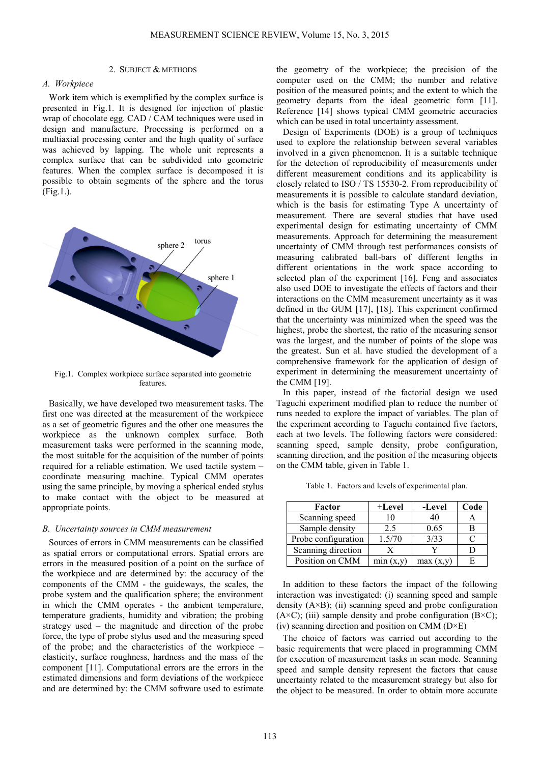#### 2. SUBJECT & METHODS

## *A. Workpiece*

Work item which is exemplified by the complex surface is presented in Fig.1. It is designed for injection of plastic wrap of chocolate egg. CAD / CAM techniques were used in design and manufacture. Processing is performed on a multiaxial processing center and the high quality of surface was achieved by lapping. The whole unit represents a complex surface that can be subdivided into geometric features. When the complex surface is decomposed it is possible to obtain segments of the sphere and the torus (Fig.1.).



Fig.1. Complex workpiece surface separated into geometric features.

Basically, we have developed two measurement tasks. The first one was directed at the measurement of the workpiece as a set of geometric figures and the other one measures the workpiece as the unknown complex surface. Both measurement tasks were performed in the scanning mode, the most suitable for the acquisition of the number of points required for a reliable estimation. We used tactile system – coordinate measuring machine. Typical CMM operates using the same principle, by moving a spherical ended stylus to make contact with the object to be measured at appropriate points.

#### *B. Uncertainty sources in CMM measurement*

Sources of errors in CMM measurements can be classified as spatial errors or computational errors. Spatial errors are errors in the measured position of a point on the surface of the workpiece and are determined by: the accuracy of the components of the CMM - the guideways, the scales, the probe system and the qualification sphere; the environment in which the CMM operates - the ambient temperature, temperature gradients, humidity and vibration; the probing strategy used – the magnitude and direction of the probe force, the type of probe stylus used and the measuring speed of the probe; and the characteristics of the workpiece – elasticity, surface roughness, hardness and the mass of the component [11]. Computational errors are the errors in the estimated dimensions and form deviations of the workpiece and are determined by: the CMM software used to estimate

the geometry of the workpiece; the precision of the computer used on the CMM; the number and relative position of the measured points; and the extent to which the geometry departs from the ideal geometric form [11]. Reference [14] shows typical CMM geometric accuracies which can be used in total uncertainty assessment.

Design of Experiments (DOE) is a group of techniques used to explore the relationship between several variables involved in a given phenomenon. It is a suitable technique for the detection of reproducibility of measurements under different measurement conditions and its applicability is closely related to ISO / TS 15530-2. From reproducibility of measurements it is possible to calculate standard deviation, which is the basis for estimating Type A uncertainty of measurement. There are several studies that have used experimental design for estimating uncertainty of CMM measurements. Approach for determining the measurement uncertainty of CMM through test performances consists of measuring calibrated ball-bars of different lengths in different orientations in the work space according to selected plan of the experiment [16]. Feng and associates also used DOE to investigate the effects of factors and their interactions on the CMM measurement uncertainty as it was defined in the GUM [17], [18]. This experiment confirmed that the uncertainty was minimized when the speed was the highest, probe the shortest, the ratio of the measuring sensor was the largest, and the number of points of the slope was the greatest. Sun et al. have studied the development of a comprehensive framework for the application of design of experiment in determining the measurement uncertainty of the CMM [19].

In this paper, instead of the factorial design we used Taguchi experiment modified plan to reduce the number of runs needed to explore the impact of variables. The plan of the experiment according to Taguchi contained five factors, each at two levels. The following factors were considered: scanning speed, sample density, probe configuration, scanning direction, and the position of the measuring objects on the CMM table, given in Table 1.

|  |  | Table 1. Factors and levels of experimental plan. |  |
|--|--|---------------------------------------------------|--|
|  |  |                                                   |  |

| Factor              | $+Level$ | -Level   | Code |
|---------------------|----------|----------|------|
| Scanning speed      | 10       | 40       |      |
| Sample density      | 2.5      | 0.65     |      |
| Probe configuration | 1.5/70   | 3/33     |      |
| Scanning direction  | X        |          |      |
| Position on CMM     | min(x,y) | max(x,y) |      |

In addition to these factors the impact of the following interaction was investigated: (i) scanning speed and sample density  $(A \times B)$ ; (ii) scanning speed and probe configuration  $(A \times C)$ ; (iii) sample density and probe configuration (B $\times$ C); (iv) scanning direction and position on CMM ( $D \times E$ )

The choice of factors was carried out according to the basic requirements that were placed in programming CMM for execution of measurement tasks in scan mode. Scanning speed and sample density represent the factors that cause uncertainty related to the measurement strategy but also for the object to be measured. In order to obtain more accurate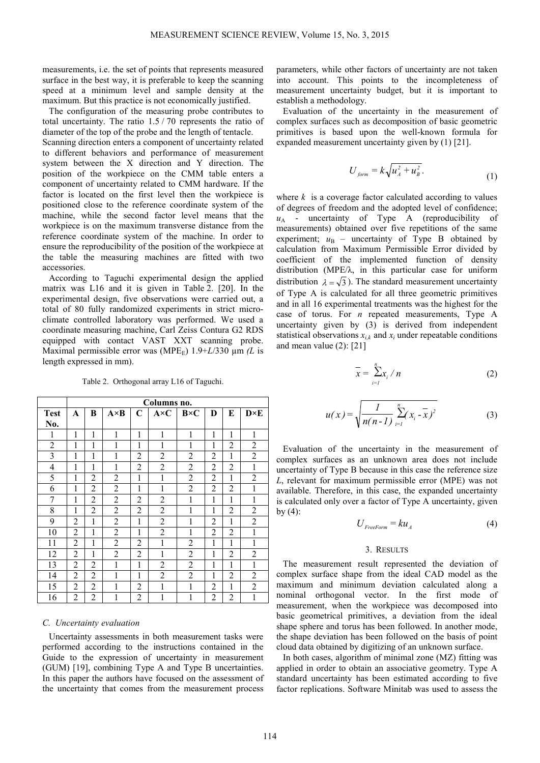measurements, i.e. the set of points that represents measured surface in the best way, it is preferable to keep the scanning speed at a minimum level and sample density at the maximum. But this practice is not economically justified.

The configuration of the measuring probe contributes to total uncertainty. The ratio 1.5 / 70 represents the ratio of diameter of the top of the probe and the length of tentacle.

Scanning direction enters a component of uncertainty related to different behaviors and performance of measurement system between the X direction and Y direction. The position of the workpiece on the CMM table enters a component of uncertainty related to CMM hardware. If the factor is located on the first level then the workpiece is positioned close to the reference coordinate system of the machine, while the second factor level means that the workpiece is on the maximum transverse distance from the reference coordinate system of the machine. In order to ensure the reproducibility of the position of the workpiece at the table the measuring machines are fitted with two accessories.

According to Taguchi experimental design the applied matrix was L16 and it is given in Table 2. [20]. In the experimental design, five observations were carried out, a total of 80 fully randomized experiments in strict microclimate controlled laboratory was performed. We used a coordinate measuring machine, Carl Zeiss Contura G2 RDS equipped with contact VAST XXT scanning probe. Maximal permissible error was (MPE<sub>E</sub>)  $1.9 + L/330 \mu m /L$  is length expressed in mm).

Table 2. Orthogonal array L16 of Taguchi.

|             | Columns no.    |                |                |                |                |                |                |                |                |
|-------------|----------------|----------------|----------------|----------------|----------------|----------------|----------------|----------------|----------------|
| <b>Test</b> | A              | B              | $A \times B$   | C              | $A \times C$   | $B\times C$    | D              | E              | $D \times E$   |
| No.         |                |                |                |                |                |                |                |                |                |
| 1           | 1              | 1              | 1              | 1              | 1              | 1              | 1              | 1              | 1              |
| 2           | 1              | 1              | 1              | 1              | 1              | 1              | 1              | 2              | 2              |
| 3           | 1              | 1              | 1              | 2              | 2              | $\overline{c}$ | $\overline{c}$ | 1              | $\overline{2}$ |
| 4           | 1              | 1              | 1              | $\overline{2}$ | $\overline{2}$ | $\overline{2}$ | $\overline{c}$ | $\overline{c}$ | $\mathbf{1}$   |
| 5           | 1              | 2              | 2              | 1              | 1              | 2              | 2              | 1              | 2              |
| 6           | 1              | 2              | $\overline{2}$ | 1              | 1              | $\overline{2}$ | $\overline{c}$ | $\overline{c}$ | 1              |
| 7           | 1              | 2              | $\overline{2}$ | 2              | 2              | 1              | 1              | 1              | 1              |
| 8           | 1              | 2              | $\overline{2}$ | 2              | 2              | 1              | 1              | $\overline{c}$ | 2              |
| 9           | $\overline{c}$ | 1              | $\overline{2}$ | 1              | 2              | 1              | $\overline{c}$ | 1              | $\overline{2}$ |
| 10          | $\overline{2}$ | 1              | $\overline{2}$ | 1              | 2              | 1              | $\overline{c}$ | 2              | 1              |
| 11          | 2              | 1              | $\overline{2}$ | 2              | 1              | 2              | 1              | 1              | 1              |
| 12          | $\overline{2}$ | 1              | 2              | $\overline{2}$ | 1              | $\overline{c}$ | 1              | 2              | $\overline{2}$ |
| 13          | $\overline{2}$ | 2              | 1              | $\mathbf{1}$   | $\overline{2}$ | $\overline{c}$ | 1              | 1              | $\mathbf{1}$   |
| 14          | 2              | 2              | 1              | 1              | $\overline{2}$ | $\overline{2}$ | 1              | 2              | $\overline{2}$ |
| 15          | 2              | 2              | 1              | $\overline{2}$ | 1              | 1              | 2              | 1              | $\overline{2}$ |
| 16          | $\overline{2}$ | $\overline{2}$ |                | $\overline{2}$ | 1              | 1              | $\overline{c}$ | 2              | 1              |

#### *C. Uncertainty evaluation*

Uncertainty assessments in both measurement tasks were performed according to the instructions contained in the Guide to the expression of uncertainty in measurement (GUM) [19], combining Type A and Type B uncertainties. In this paper the authors have focused on the assessment of the uncertainty that comes from the measurement process

parameters, while other factors of uncertainty are not taken into account. This points to the incompleteness of measurement uncertainty budget, but it is important to establish a methodology.

Evaluation of the uncertainty in the measurement of complex surfaces such as decomposition of basic geometric primitives is based upon the well-known formula for expanded measurement uncertainty given by (1) [21].

$$
U_{\text{form}} = k \sqrt{u_A^2 + u_B^2}.
$$
 (1)

where  $k$  is a coverage factor calculated according to values of degrees of freedom and the adopted level of confidence;  $u_A$  - uncertainty of Type A (reproducibility of measurements) obtained over five repetitions of the same experiment;  $u_B$  – uncertainty of Type B obtained by calculation from Maximum Permissible Error divided by coefficient of the implemented function of density distribution (MPE/λ, in this particular case for uniform distribution  $\lambda = \sqrt{3}$ ). The standard measurement uncertainty of Type A is calculated for all three geometric primitives and in all 16 experimental treatments was the highest for the case of torus. For *n* repeated measurements, Type A uncertainty given by (3) is derived from independent statistical observations  $x_{i,k}$  and  $x_i$  under repeatable conditions and mean value (2): [21]

$$
\overline{x} = \sum_{i=1}^{n} x_i / n \tag{2}
$$

$$
u(x) = \sqrt{\frac{1}{n(n-1)} \sum_{i=1}^{n} (x_i - \overline{x})^2}
$$
 (3)

Evaluation of the uncertainty in the measurement of complex surfaces as an unknown area does not include uncertainty of Type B because in this case the reference size *L*, relevant for maximum permissible error (MPE) was not available. Therefore, in this case, the expanded uncertainty is calculated only over a factor of Type A uncertainty, given by  $(4)$ :

$$
U_{\text{FreeForm}} = k u_A \tag{4}
$$

#### 3. RESULTS

The measurement result represented the deviation of complex surface shape from the ideal CAD model as the maximum and minimum deviation calculated along a nominal orthogonal vector. In the first mode of measurement, when the workpiece was decomposed into basic geometrical primitives, a deviation from the ideal shape sphere and torus has been followed. In another mode, the shape deviation has been followed on the basis of point cloud data obtained by digitizing of an unknown surface.

In both cases, algorithm of minimal zone (MZ) fitting was applied in order to obtain an associative geometry. Type A standard uncertainty has been estimated according to five factor replications. Software Minitab was used to assess the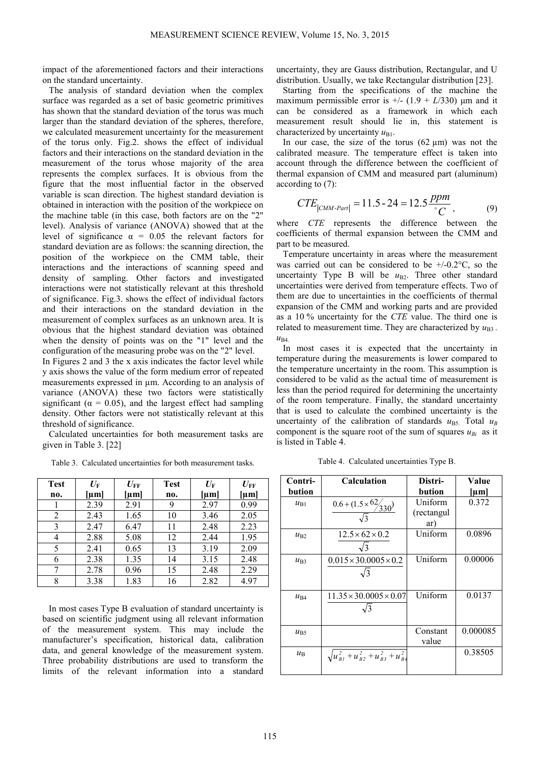impact of the aforementioned factors and their interactions on the standard uncertainty.

The analysis of standard deviation when the complex surface was regarded as a set of basic geometric primitives has shown that the standard deviation of the torus was much larger than the standard deviation of the spheres, therefore, we calculated measurement uncertainty for the measurement of the torus only. Fig.2. shows the effect of individual factors and their interactions on the standard deviation in the measurement of the torus whose majority of the area represents the complex surfaces. It is obvious from the figure that the most influential factor in the observed variable is scan direction. The highest standard deviation is obtained in interaction with the position of the workpiece on the machine table (in this case, both factors are on the "2" level). Analysis of variance (ANOVA) showed that at the level of significance  $\alpha = 0.05$  the relevant factors for standard deviation are as follows: the scanning direction, the position of the workpiece on the CMM table, their interactions and the interactions of scanning speed and density of sampling. Other factors and investigated interactions were not statistically relevant at this threshold of significance. Fig.3. shows the effect of individual factors and their interactions on the standard deviation in the measurement of complex surfaces as an unknown area. It is obvious that the highest standard deviation was obtained when the density of points was on the "1" level and the configuration of the measuring probe was on the "2" level.

In Figures 2 and 3 the x axis indicates the factor level while y axis shows the value of the form medium error of repeated measurements expressed in  $\mu$ m. According to an analysis of variance (ANOVA) these two factors were statistically significant ( $\alpha = 0.05$ ), and the largest effect had sampling density. Other factors were not statistically relevant at this threshold of significance.

Calculated uncertainties for both measurement tasks are given in Table 3. [22]

| <b>Test</b> | $U_{\rm F}$           | $U_{\rm FF}$ | <b>Test</b> | $U_{\rm F}$ | $U_{\rm FF}$ |
|-------------|-----------------------|--------------|-------------|-------------|--------------|
| no.         | $\lceil \mu m \rceil$ | [µm]         | no.         | [µm]        | [µm]         |
|             | 2.39                  | 2.91         | 9           | 2.97        | 0.99         |
| 2           | 2.43                  | 1.65         | 10          | 3.46        | 2.05         |
| 3           | 2.47                  | 6.47         | 11          | 2.48        | 2.23         |
| 4           | 2.88                  | 5.08         | 12          | 2.44        | 1.95         |
| 5           | 2.41                  | 0.65         | 13          | 3.19        | 2.09         |
| 6           | 2.38                  | 1.35         | 14          | 3.15        | 2.48         |
|             | 2.78                  | 0.96         | 15          | 2.48        | 2.29         |
| 8           | 3.38                  | 1.83         | 16          | 2.82        | 4.97         |

Table 3. Calculated uncertainties for both measurement tasks.

In most cases Type B evaluation of standard uncertainty is based on scientific judgment using all relevant information of the measurement system. This may include the manufacturer's specification, historical data, calibration data, and general knowledge of the measurement system. Three probability distributions are used to transform the limits of the relevant information into a standard

uncertainty, they are Gauss distribution, Rectangular, and U distribution. Usually, we take Rectangular distribution [23].

Starting from the specifications of the machine the maximum permissible error is  $+/- (1.9 + L/330)$  µm and it can be considered as a framework in which each measurement result should lie in, this statement is characterized by uncertainty  $u_{\text{B1}}$ .

In our case, the size of the torus  $(62 \mu m)$  was not the calibrated measure. The temperature effect is taken into account through the difference between the coefficient of thermal expansion of CMM and measured part (aluminum) according to (7):

$$
CTE_{|CMM\text{-}Part|} = 11.5 - 24 = 12.5 \frac{ppm}{\text{C}},\tag{9}
$$

where *CTE* represents the difference between the coefficients of thermal expansion between the CMM and part to be measured.

Temperature uncertainty in areas where the measurement was carried out can be considered to be  $+/-0.2$ °C, so the uncertainty Type B will be  $u_{B2}$ . Three other standard uncertainties were derived from temperature effects. Two of them are due to uncertainties in the coefficients of thermal expansion of the CMM and working parts and are provided as a 10 % uncertainty for the *CTE* value. The third one is related to measurement time. They are characterized by  $u_{\text{B3}}$ .  $u_{\text{B}4}$ 

In most cases it is expected that the uncertainty in temperature during the measurements is lower compared to the temperature uncertainty in the room. This assumption is considered to be valid as the actual time of measurement is less than the period required for determining the uncertainty of the room temperature. Finally, the standard uncertainty that is used to calculate the combined uncertainty is the uncertainty of the calibration of standards  $u_{\rm BS}$  Total  $u_B$ component is the square root of the sum of squares  $u_{Bi}$  as it is listed in Table 4.

Table 4. Calculated uncertainties Type B.

| Contri-      | <b>Calculation</b>                                 | Distri-    | Value    |  |
|--------------|----------------------------------------------------|------------|----------|--|
| bution       |                                                    | bution     | µm       |  |
| $u_{B1}$     |                                                    | Uniform    | 0.372    |  |
|              | $\frac{0.6 + (1.5 \times 62 / 330)}{\sqrt{3}}$     | (rectangul |          |  |
|              |                                                    | ar)        |          |  |
| $u_{\rm B2}$ | $12.5 \times 62 \times 0.2$                        | Uniform    | 0.0896   |  |
|              | $\sqrt{3}$                                         |            |          |  |
| $u_{B3}$     | $0.015 \times 30.0005 \times 0.2$                  | Uniform    | 0.00006  |  |
|              | $\sqrt{3}$                                         |            |          |  |
|              |                                                    |            |          |  |
| $u_{B4}$     | $11.35 \times 30.0005 \times 0.07$                 | Uniform    | 0.0137   |  |
|              | $\sqrt{3}$                                         |            |          |  |
|              |                                                    |            |          |  |
| $u_{\rm B5}$ |                                                    | Constant   | 0.000085 |  |
|              |                                                    | value      |          |  |
| $u_{\rm B}$  | $\sqrt{u_{B1}^2 + u_{B2}^2 + u_{B3}^2 + u_{B4}^2}$ |            | 0.38505  |  |
|              |                                                    |            |          |  |
|              |                                                    |            |          |  |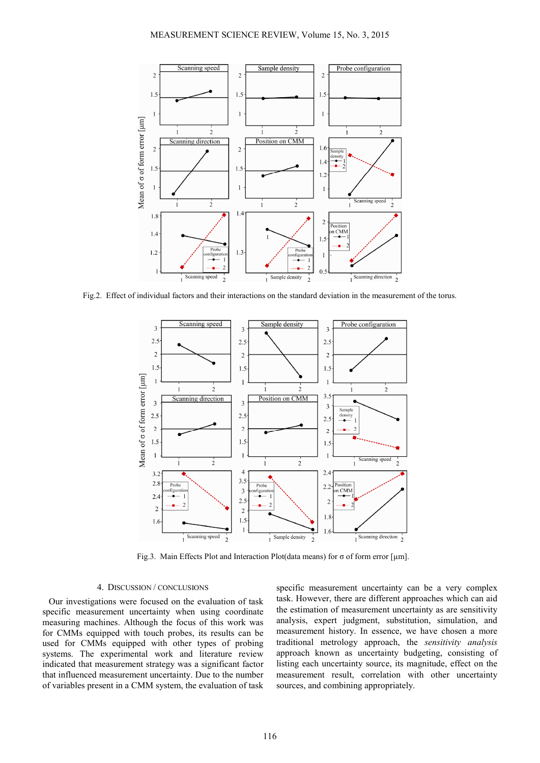

Fig.2. Effect of individual factors and their interactions on the standard deviation in the measurement of the torus.



Fig.3. Main Effects Plot and Interaction Plot(data means) for  $\sigma$  of form error [µm].

### 4. DISCUSSION / CONCLUSIONS

Our investigations were focused on the evaluation of task specific measurement uncertainty when using coordinate measuring machines. Although the focus of this work was for CMMs equipped with touch probes, its results can be used for CMMs equipped with other types of probing systems. The experimental work and literature review indicated that measurement strategy was a significant factor that influenced measurement uncertainty. Due to the number of variables present in a CMM system, the evaluation of task specific measurement uncertainty can be a very complex task. However, there are different approaches which can aid the estimation of measurement uncertainty as are sensitivity analysis, expert judgment, substitution, simulation, and measurement history. In essence, we have chosen a more traditional metrology approach, the *sensitivity analysis* approach known as uncertainty budgeting, consisting of listing each uncertainty source, its magnitude, effect on the measurement result, correlation with other uncertainty sources, and combining appropriately.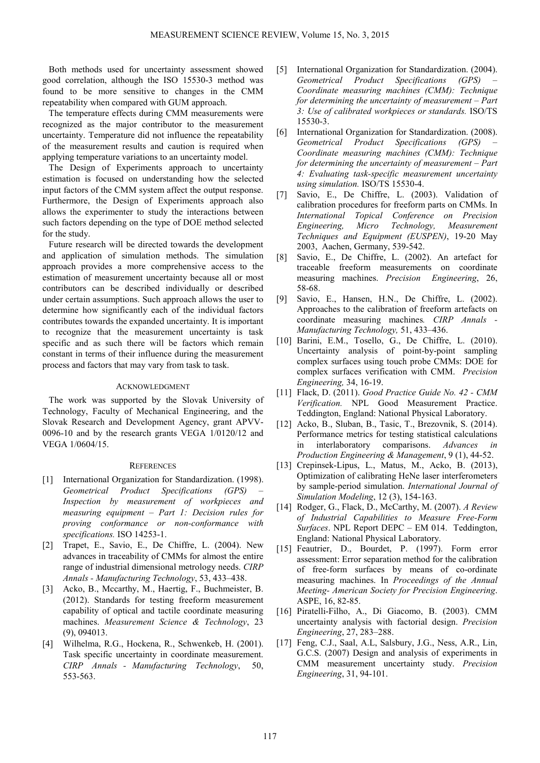Both methods used for uncertainty assessment showed good correlation, although the ISO 15530-3 method was found to be more sensitive to changes in the CMM repeatability when compared with GUM approach.

The temperature effects during CMM measurements were recognized as the major contributor to the measurement uncertainty. Temperature did not influence the repeatability of the measurement results and caution is required when applying temperature variations to an uncertainty model.

The Design of Experiments approach to uncertainty estimation is focused on understanding how the selected input factors of the CMM system affect the output response. Furthermore, the Design of Experiments approach also allows the experimenter to study the interactions between such factors depending on the type of DOE method selected for the study.

Future research will be directed towards the development and application of simulation methods. The simulation approach provides a more comprehensive access to the estimation of measurement uncertainty because all or most contributors can be described individually or described under certain assumptions. Such approach allows the user to determine how significantly each of the individual factors contributes towards the expanded uncertainty. It is important to recognize that the measurement uncertainty is task specific and as such there will be factors which remain constant in terms of their influence during the measurement process and factors that may vary from task to task.

## ACKNOWLEDGMENT

The work was supported by the Slovak University of Technology, Faculty of Mechanical Engineering, and the Slovak Research and Development Agency, grant APVV-0096-10 and by the research grants VEGA 1/0120/12 and VEGA 1/0604/15.

#### **REFERENCES**

- [1] International Organization for Standardization. (1998). *Geometrical Product Specifications (GPS) – Inspection by measurement of workpieces and measuring equipment – Part 1: Decision rules for proving conformance or non-conformance with specifications.* ISO 14253-1.
- [2] Trapet, E., Savio, E., De Chiffre, L. (2004). New advances in traceability of CMMs for almost the entire range of industrial dimensional metrology needs. *CIRP Annals - Manufacturing Technology*, 53, 433–438.
- [3] Acko, B., Mccarthy, M., Haertig, F., Buchmeister, B. (2012). Standards for testing freeform measurement capability of optical and tactile coordinate measuring machines. *Measurement Science & Technology*, 23 (9), 094013.
- [4] Wilhelma, R.G., Hockena, R., Schwenkeb, H. (2001). Task specific uncertainty in coordinate measurement. *CIRP Annals - Manufacturing Technology*, 50, 553-563.
- [5] International Organization for Standardization. (2004). *Geometrical Product Specifications (GPS) – Coordinate measuring machines (CMM): Technique for determining the uncertainty of measurement – Part 3: Use of calibrated workpieces or standards.* ISO/TS 15530-3.
- [6] International Organization for Standardization. (2008). *Geometrical Product Specifications (GPS) – Coordinate measuring machines (CMM): Technique for determining the uncertainty of measurement – Part 4: Evaluating task-specific measurement uncertainty using simulation.* ISO/TS 15530-4.
- [7] Savio, E., De Chiffre, L. (2003). Validation of calibration procedures for freeform parts on CMMs. In *International Topical Conference on Precision Engineering, Micro Technology, Measurement Techniques and Equipment (EUSPEN)*, 19-20 May 2003, Aachen, Germany, 539-542.
- [8] Savio, E., De Chiffre, L. (2002). An artefact for traceable freeform measurements on coordinate measuring machines. *Precision Engineering*, 26, 58-68.
- [9] Savio, E., Hansen, H.N., De Chiffre, L. (2002). Approaches to the calibration of freeform artefacts on coordinate measuring machines*. CIRP Annals - Manufacturing Technology,* 51, 433–436.
- [10] Barini, E.M., Tosello, G., De Chiffre, L. (2010). Uncertainty analysis of point-by-point sampling complex surfaces using touch probe CMMs: DOE for complex surfaces verification with CMM. *Precision Engineering,* 34, 16-19.
- [11] Flack, D. (2011). *Good Practice Guide No. 42 CMM Verification.* NPL Good Measurement Practice. Teddington, England: National Physical Laboratory.
- [12] Acko, B., Sluban, B., Tasic, T., Brezovnik, S. (2014). Performance metrics for testing statistical calculations in interlaboratory comparisons. *Advances in Production Engineering & Management*, 9 (1), 44-52.
- [13] Crepinsek-Lipus, L., Matus, M., Acko, B. (2013), Optimization of calibrating HeNe laser interferometers by sample-period simulation. *International Journal of Simulation Modeling*, 12 (3), 154-163.
- [14] Rodger, G., Flack, D., McCarthy, M. (2007). *A Review of Industrial Capabilities to Measure Free-Form Surfaces*. NPL Report DEPC – EM 014. Teddington, England: National Physical Laboratory.
- [15] Feautrier, D., Bourdet, P. (1997). Form error assessment: Error separation method for the calibration of free-form surfaces by means of co-ordinate measuring machines. In *Proceedings of the Annual Meeting- American Society for Precision Engineering*. ASPE, 16, 82-85.
- [16] Piratelli-Filho, A., Di Giacomo, B. (2003). CMM uncertainty analysis with factorial design. *Precision Engineering*, 27, 283–288.
- [17] Feng, C.J., Saal, A.L, Salsbury, J.G., Ness, A.R., Lin, G.C.S. (2007) Design and analysis of experiments in CMM measurement uncertainty study. *Precision Engineering*, 31, 94-101.